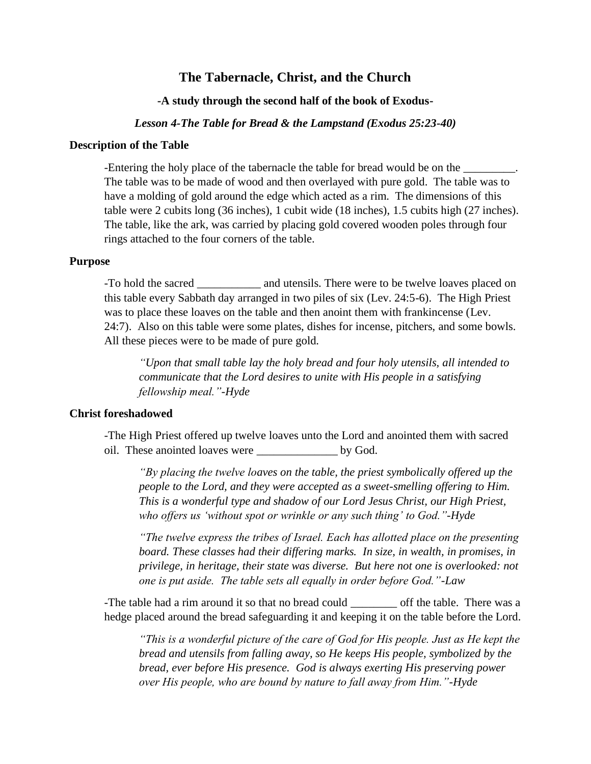# **The Tabernacle, Christ, and the Church**

## **-A study through the second half of the book of Exodus-**

#### *Lesson 4-The Table for Bread & the Lampstand (Exodus 25:23-40)*

#### **Description of the Table**

-Entering the holy place of the tabernacle the table for bread would be on the \_\_\_\_\_\_\_\_. The table was to be made of wood and then overlayed with pure gold. The table was to have a molding of gold around the edge which acted as a rim. The dimensions of this table were 2 cubits long (36 inches), 1 cubit wide (18 inches), 1.5 cubits high (27 inches). The table, like the ark, was carried by placing gold covered wooden poles through four rings attached to the four corners of the table.

#### **Purpose**

-To hold the sacred and utensils. There were to be twelve loaves placed on this table every Sabbath day arranged in two piles of six (Lev. 24:5-6). The High Priest was to place these loaves on the table and then anoint them with frankincense (Lev. 24:7). Also on this table were some plates, dishes for incense, pitchers, and some bowls. All these pieces were to be made of pure gold.

*"Upon that small table lay the holy bread and four holy utensils, all intended to communicate that the Lord desires to unite with His people in a satisfying fellowship meal."-Hyde*

### **Christ foreshadowed**

-The High Priest offered up twelve loaves unto the Lord and anointed them with sacred oil. These anointed loaves were by God.

*"By placing the twelve loaves on the table, the priest symbolically offered up the people to the Lord, and they were accepted as a sweet-smelling offering to Him. This is a wonderful type and shadow of our Lord Jesus Christ, our High Priest, who offers us 'without spot or wrinkle or any such thing' to God."-Hyde*

*"The twelve express the tribes of Israel. Each has allotted place on the presenting board. These classes had their differing marks. In size, in wealth, in promises, in privilege, in heritage, their state was diverse. But here not one is overlooked: not one is put aside. The table sets all equally in order before God."-Law*

-The table had a rim around it so that no bread could off the table. There was a hedge placed around the bread safeguarding it and keeping it on the table before the Lord.

*"This is a wonderful picture of the care of God for His people. Just as He kept the bread and utensils from falling away, so He keeps His people, symbolized by the bread, ever before His presence. God is always exerting His preserving power over His people, who are bound by nature to fall away from Him."-Hyde*